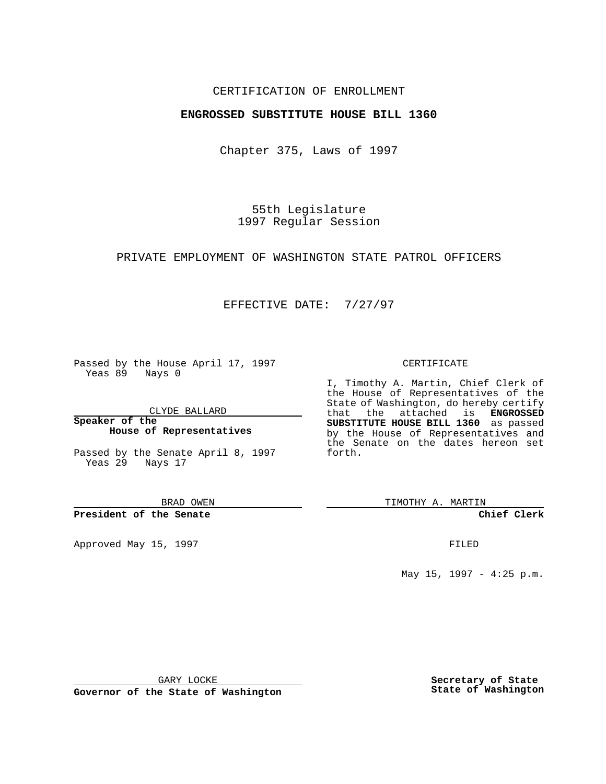## CERTIFICATION OF ENROLLMENT

## **ENGROSSED SUBSTITUTE HOUSE BILL 1360**

Chapter 375, Laws of 1997

55th Legislature 1997 Regular Session

PRIVATE EMPLOYMENT OF WASHINGTON STATE PATROL OFFICERS

## EFFECTIVE DATE: 7/27/97

Passed by the House April 17, 1997 Yeas 89 Nays 0

CLYDE BALLARD

**Speaker of the House of Representatives**

Passed by the Senate April 8, 1997 Yeas 29 Nays 17

BRAD OWEN

**President of the Senate**

Approved May 15, 1997 **FILED** 

#### CERTIFICATE

I, Timothy A. Martin, Chief Clerk of the House of Representatives of the State of Washington, do hereby certify that the attached is **ENGROSSED SUBSTITUTE HOUSE BILL 1360** as passed by the House of Representatives and the Senate on the dates hereon set forth.

TIMOTHY A. MARTIN

**Chief Clerk**

May 15, 1997 - 4:25 p.m.

GARY LOCKE

**Governor of the State of Washington**

**Secretary of State State of Washington**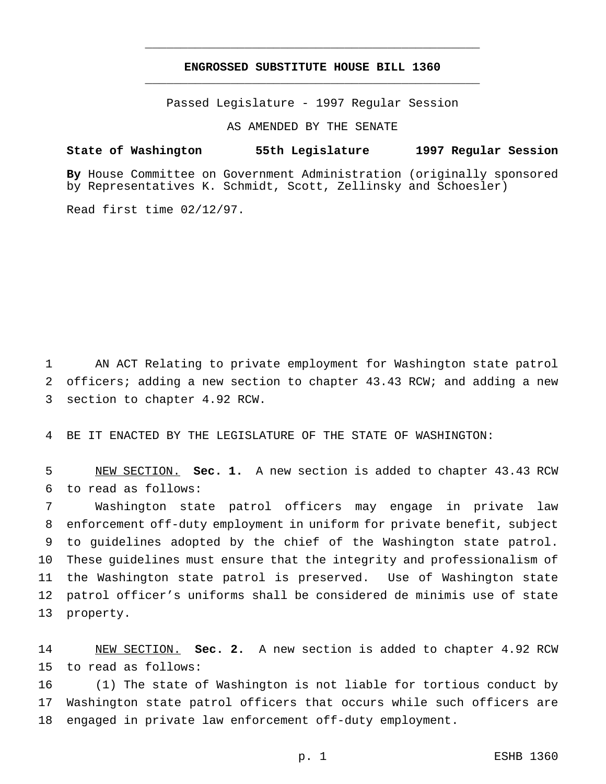# **ENGROSSED SUBSTITUTE HOUSE BILL 1360** \_\_\_\_\_\_\_\_\_\_\_\_\_\_\_\_\_\_\_\_\_\_\_\_\_\_\_\_\_\_\_\_\_\_\_\_\_\_\_\_\_\_\_\_\_\_\_

\_\_\_\_\_\_\_\_\_\_\_\_\_\_\_\_\_\_\_\_\_\_\_\_\_\_\_\_\_\_\_\_\_\_\_\_\_\_\_\_\_\_\_\_\_\_\_

Passed Legislature - 1997 Regular Session

AS AMENDED BY THE SENATE

### **State of Washington 55th Legislature 1997 Regular Session**

**By** House Committee on Government Administration (originally sponsored by Representatives K. Schmidt, Scott, Zellinsky and Schoesler)

Read first time 02/12/97.

 AN ACT Relating to private employment for Washington state patrol officers; adding a new section to chapter 43.43 RCW; and adding a new section to chapter 4.92 RCW.

BE IT ENACTED BY THE LEGISLATURE OF THE STATE OF WASHINGTON:

 NEW SECTION. **Sec. 1.** A new section is added to chapter 43.43 RCW to read as follows:

 Washington state patrol officers may engage in private law enforcement off-duty employment in uniform for private benefit, subject to guidelines adopted by the chief of the Washington state patrol. These guidelines must ensure that the integrity and professionalism of the Washington state patrol is preserved. Use of Washington state patrol officer's uniforms shall be considered de minimis use of state property.

 NEW SECTION. **Sec. 2.** A new section is added to chapter 4.92 RCW to read as follows:

 (1) The state of Washington is not liable for tortious conduct by Washington state patrol officers that occurs while such officers are engaged in private law enforcement off-duty employment.